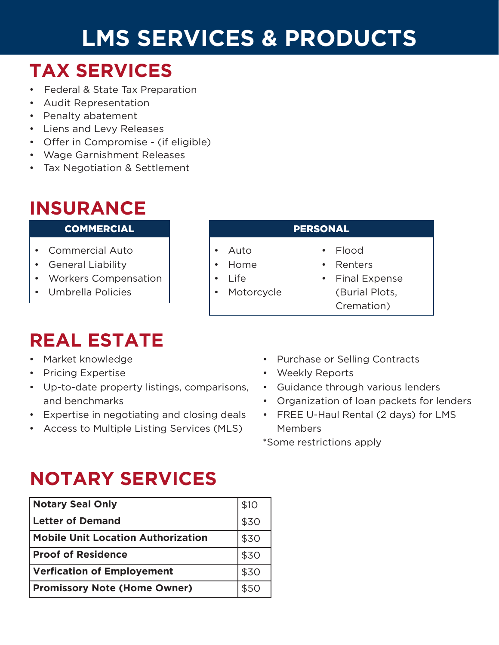# **LMS SERVICES & PRODUCTS**

• Auto • Home • Life

**Motorcycle** 

### **TAX SERVICES**

- Federal & State Tax Preparation
- Audit Representation
- Penalty abatement
- Liens and Levy Releases
- Offer in Compromise (if eligible)
- Wage Garnishment Releases
- Tax Negotiation & Settlement

### **INSURANCE**

#### COMMERCIAL PERSONAL

- Commercial Auto
- General Liability
- Workers Compensation
- Umbrella Policies

### **REAL ESTATE**

- Market knowledge
- Pricing Expertise
- Up-to-date property listings, comparisons, and benchmarks
- Expertise in negotiating and closing deals
- Access to Multiple Listing Services (MLS)

- Flood
- **Renters**
- Final Expense (Burial Plots, Cremation)
- Purchase or Selling Contracts
- Weekly Reports
- Guidance through various lenders
- Organization of loan packets for lenders
- FREE U-Haul Rental (2 days) for LMS Members

\*Some restrictions apply

# **NOTARY SERVICES**

| <b>Notary Seal Only</b>                   | \$10 |
|-------------------------------------------|------|
| <b>Letter of Demand</b>                   | \$30 |
| <b>Mobile Unit Location Authorization</b> | \$30 |
| <b>Proof of Residence</b>                 | \$30 |
| <b>Verfication of Employement</b>         | \$30 |
| <b>Promissory Note (Home Owner)</b>       | \$50 |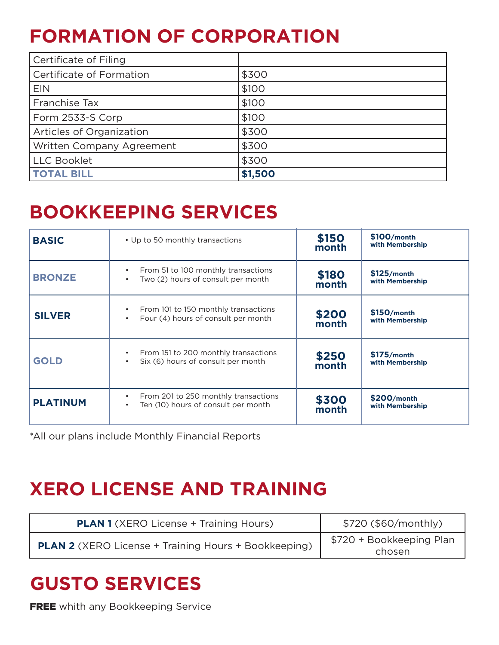### **FORMATION OF CORPORATION**

| Certificate of Filing     |         |
|---------------------------|---------|
| Certificate of Formation  | \$300   |
| <b>EIN</b>                | \$100   |
| Franchise Tax             | \$100   |
| Form 2533-S Corp          | \$100   |
| Articles of Organization  | \$300   |
| Written Company Agreement | \$300   |
| <b>LLC Booklet</b>        | \$300   |
| <b>TOTAL BILL</b>         | \$1,500 |

### **BOOKKEEPING SERVICES**

| <b>BASIC</b>    | • Up to 50 monthly transactions                                                                       | \$150<br>month | \$100/month<br>with Membership   |
|-----------------|-------------------------------------------------------------------------------------------------------|----------------|----------------------------------|
| <b>BRONZE</b>   | From 51 to 100 monthly transactions<br>$\bullet$<br>Two (2) hours of consult per month                | \$180<br>month | $$125/m$ onth<br>with Membership |
| <b>SILVER</b>   | From 101 to 150 monthly transactions<br>$\bullet$<br>Four (4) hours of consult per month<br>$\bullet$ | \$200<br>month | $$150/m$ onth<br>with Membership |
| <b>GOLD</b>     | From 151 to 200 monthly transactions<br>$\bullet$<br>Six (6) hours of consult per month               | \$250<br>month | $$175/m$ onth<br>with Membership |
| <b>PLATINUM</b> | From 201 to 250 monthly transactions<br>$\bullet$<br>Ten (10) hours of consult per month<br>$\bullet$ | \$300<br>month | \$200/month<br>with Membership   |

\*All our plans include Monthly Financial Reports

### **XERO LICENSE AND TRAINING**

| <b>PLAN 1</b> (XERO License + Training Hours)               | \$720 (\$60/monthly)               |
|-------------------------------------------------------------|------------------------------------|
| <b>PLAN 2</b> (XERO License + Training Hours + Bookkeeping) | \$720 + Bookkeeping Plan<br>chosen |

### **GUSTO SERVICES**

**FREE** whith any Bookkeeping Service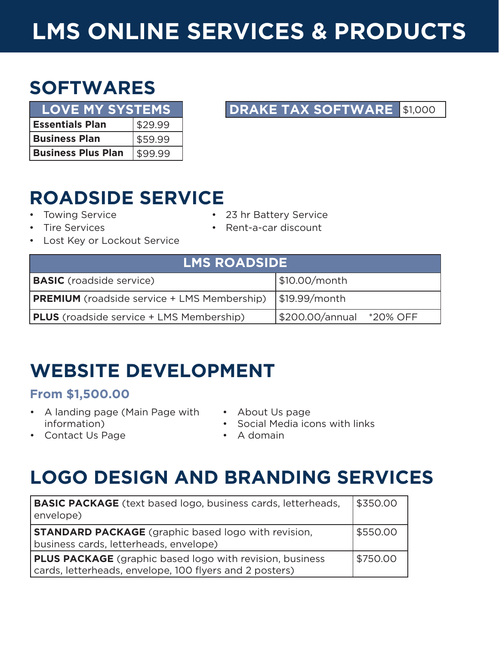# **LMS ONLINE SERVICES & PRODUCTS**

### **SOFTWARES**

| <b>LOVE MY SYSTEMS</b>    |         |  |
|---------------------------|---------|--|
| <b>Essentials Plan</b>    | \$29.99 |  |
| <b>Business Plan</b>      | \$59.99 |  |
| <b>Business Plus Plan</b> | 99.99   |  |

#### **DRAKE TAX SOFTWARE** \$1,000

### **ROADSIDE SERVICE**

- Towing Service
- Tire Services
- 23 hr Battery Service
- Rent-a-car discount
- Lost Key or Lockout Service

| <b>LMS ROADSIDE</b>                                |                          |  |
|----------------------------------------------------|--------------------------|--|
| <b>BASIC</b> (roadside service)                    | \$10.00/month            |  |
| <b>PREMIUM</b> (roadside service + LMS Membership) | \$19.99/month            |  |
| <b>PLUS</b> (roadside service + LMS Membership)    | \$200.00/annual *20% OFF |  |

### **WEBSITE DEVELOPMENT**

#### **From \$1,500.00**

- A landing page (Main Page with information)
- About Us page
- Social Media icons with links

• Contact Us Page

• A domain

### **LOGO DESIGN AND BRANDING SERVICES**

| <b>BASIC PACKAGE</b> (text based logo, business cards, letterheads,<br>envelope)                                           | \$350.00 |
|----------------------------------------------------------------------------------------------------------------------------|----------|
| <b>STANDARD PACKAGE</b> (graphic based logo with revision,<br>business cards, letterheads, envelope)                       | \$550.00 |
| <b>PLUS PACKAGE</b> (graphic based logo with revision, business<br>cards, letterheads, envelope, 100 flyers and 2 posters) | \$750.00 |